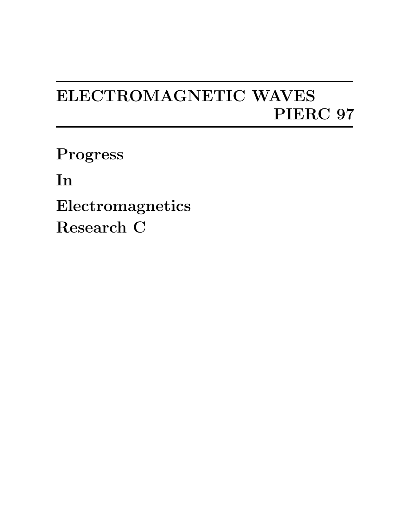## ELECTROMAGNETIC WAVES PIERC 97

Progress

In

Electromagnetics Research C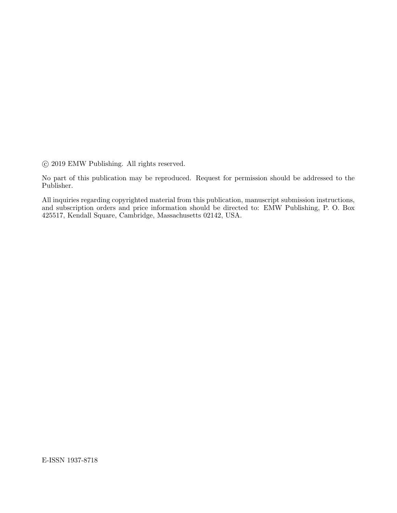°c 2019 EMW Publishing. All rights reserved.

No part of this publication may be reproduced. Request for permission should be addressed to the Publisher.

All inquiries regarding copyrighted material from this publication, manuscript submission instructions, and subscription orders and price information should be directed to: EMW Publishing, P. O. Box 425517, Kendall Square, Cambridge, Massachusetts 02142, USA.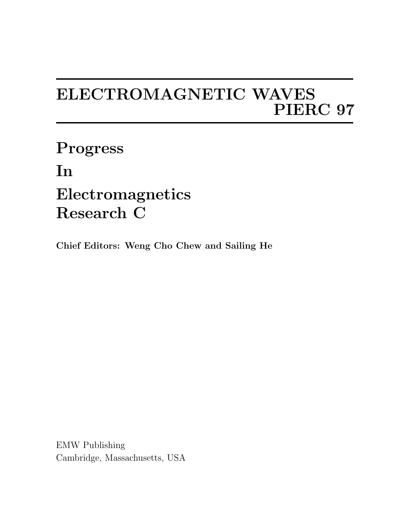## ELECTROMAGNETIC WAVES PIERC 97

Progress In Electromagnetics Research C

Chief Editors: Weng Cho Chew and Sailing He

EMW Publishing Cambridge, Massachusetts, USA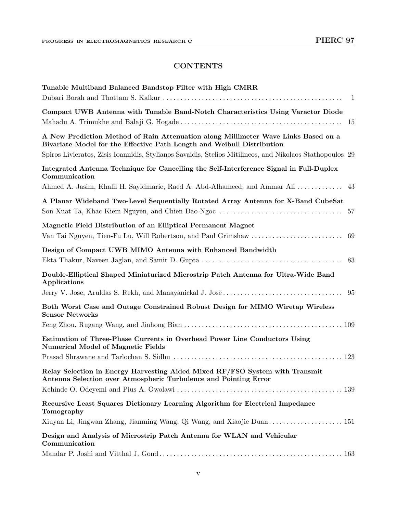## **CONTENTS**

| Tunable Multiband Balanced Bandstop Filter with High CMRR<br>$\mathbf{1}$                                                                                                                                                                                                |
|--------------------------------------------------------------------------------------------------------------------------------------------------------------------------------------------------------------------------------------------------------------------------|
| Compact UWB Antenna with Tunable Band-Notch Characteristics Using Varactor Diode<br>-15                                                                                                                                                                                  |
| A New Prediction Method of Rain Attenuation along Millimeter Wave Links Based on a<br>Bivariate Model for the Effective Path Length and Weibull Distribution<br>Spiros Livieratos, Zisis Ioannidis, Stylianos Savaidis, Stelios Mitilineos, and Nikolaos Stathopoulos 29 |
| Integrated Antenna Technique for Cancelling the Self-Interference Signal in Full-Duplex<br>Communication<br>Ahmed A. Jasim, Khalil H. Sayidmarie, Raed A. Abd-Alhameed, and Ammar Ali<br>43                                                                              |
| A Planar Wideband Two-Level Sequentially Rotated Array Antenna for X-Band CubeSat<br>57                                                                                                                                                                                  |
| Magnetic Field Distribution of an Elliptical Permanent Magnet<br>Van Tai Nguyen, Tien-Fu Lu, Will Robertson, and Paul Grimshaw<br>69                                                                                                                                     |
| Design of Compact UWB MIMO Antenna with Enhanced Bandwidth<br>83                                                                                                                                                                                                         |
| Double-Elliptical Shaped Miniaturized Microstrip Patch Antenna for Ultra-Wide Band<br>Applications                                                                                                                                                                       |
|                                                                                                                                                                                                                                                                          |
| Both Worst Case and Outage Constrained Robust Design for MIMO Wiretap Wireless<br><b>Sensor Networks</b>                                                                                                                                                                 |
|                                                                                                                                                                                                                                                                          |
| Estimation of Three-Phase Currents in Overhead Power Line Conductors Using<br><b>Numerical Model of Magnetic Fields</b>                                                                                                                                                  |
|                                                                                                                                                                                                                                                                          |
| Relay Selection in Energy Harvesting Aided Mixed RF/FSO System with Transmit<br>Antenna Selection over Atmospheric Turbulence and Pointing Error                                                                                                                         |
|                                                                                                                                                                                                                                                                          |
| Recursive Least Squares Dictionary Learning Algorithm for Electrical Impedance<br>Tomography                                                                                                                                                                             |
|                                                                                                                                                                                                                                                                          |
| Design and Analysis of Microstrip Patch Antenna for WLAN and Vehicular<br>Communication                                                                                                                                                                                  |
|                                                                                                                                                                                                                                                                          |